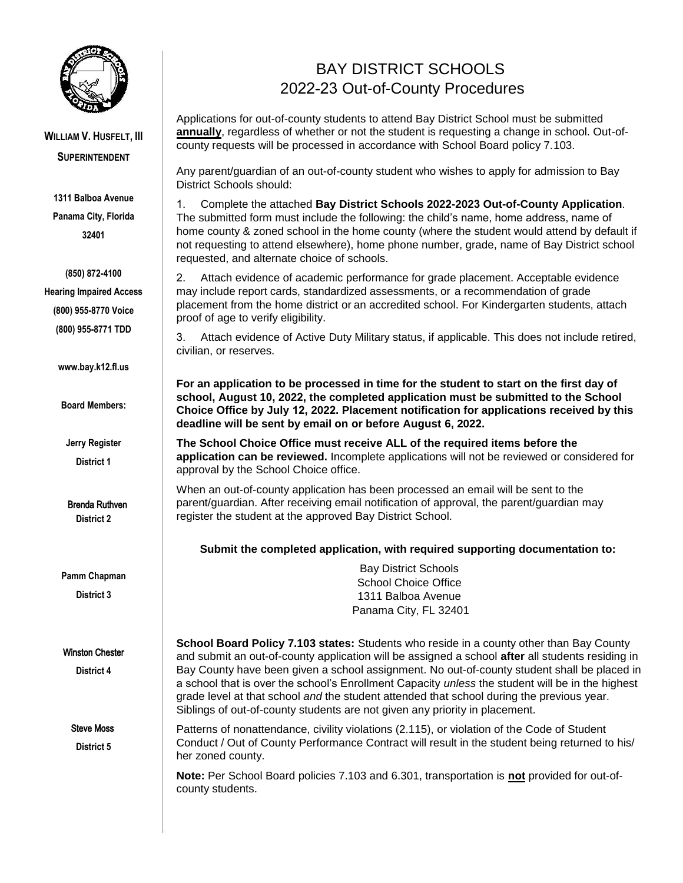

## **WILLIAM V. HUSFELT, III SUPERINTENDENT**

**1311 Balboa Avenue Panama City, Florida 32401**

**(850) 872-4100 Hearing Impaired Access (800) 955-8770 Voice (800) 955-8771 TDD**

**www.bay.k12.fl.us** 

**Board Members:** 

**Jerry Register District 1** 

**District 2**  Brenda Ruthven

**Pamm Chapman** 

**District 3** 

#### Winston Chester

**District 4** 

Steve Moss

**District 5** 

## BAY DISTRICT SCHOOLS 2022-23 Out-of-County Procedures

Applications for out-of-county students to attend Bay District School must be submitted **annually**, regardless of whether or not the student is requesting a change in school. Out-ofcounty requests will be processed in accordance with School Board policy 7.103.

Any parent/guardian of an out-of-county student who wishes to apply for admission to Bay District Schools should:

1. Complete the attached **Bay District Schools 2022-2023 Out-of-County Application**. The submitted form must include the following: the child's name, home address, name of home county & zoned school in the home county (where the student would attend by default if not requesting to attend elsewhere), home phone number, grade, name of Bay District school requested, and alternate choice of schools.

2. Attach evidence of academic performance for grade placement. Acceptable evidence may include report cards, standardized assessments, or a recommendation of grade placement from the home district or an accredited school. For Kindergarten students, attach proof of age to verify eligibility.

3. Attach evidence of Active Duty Military status, if applicable. This does not include retired, civilian, or reserves.

**For an application to be processed in time for the student to start on the first day of school, August 10, 2022, the completed application must be submitted to the School Choice Office by July 12, 2022. Placement notification for applications received by this deadline will be sent by email on or before August 6, 2022.**

**The School Choice Office must receive ALL of the required items before the application can be reviewed.** Incomplete applications will not be reviewed or considered for approval by the School Choice office.

When an out-of-county application has been processed an email will be sent to the parent/guardian. After receiving email notification of approval, the parent/guardian may register the student at the approved Bay District School.

**Submit the completed application, with required supporting documentation to:** 

Bay District Schools School Choice Office 1311 Balboa Avenue Panama City, FL 32401

**School Board Policy 7.103 states:** Students who reside in a county other than Bay County and submit an out-of-county application will be assigned a school **after** all students residing in Bay County have been given a school assignment. No out-of-county student shall be placed in a school that is over the school's Enrollment Capacity *unless* the student will be in the highest grade level at that school *and* the student attended that school during the previous year. Siblings of out-of-county students are not given any priority in placement.

Patterns of nonattendance, civility violations (2.115), or violation of the Code of Student Conduct / Out of County Performance Contract will result in the student being returned to his/ her zoned county.

**Note:** Per School Board policies 7.103 and 6.301, transportation is **not** provided for out-ofcounty students.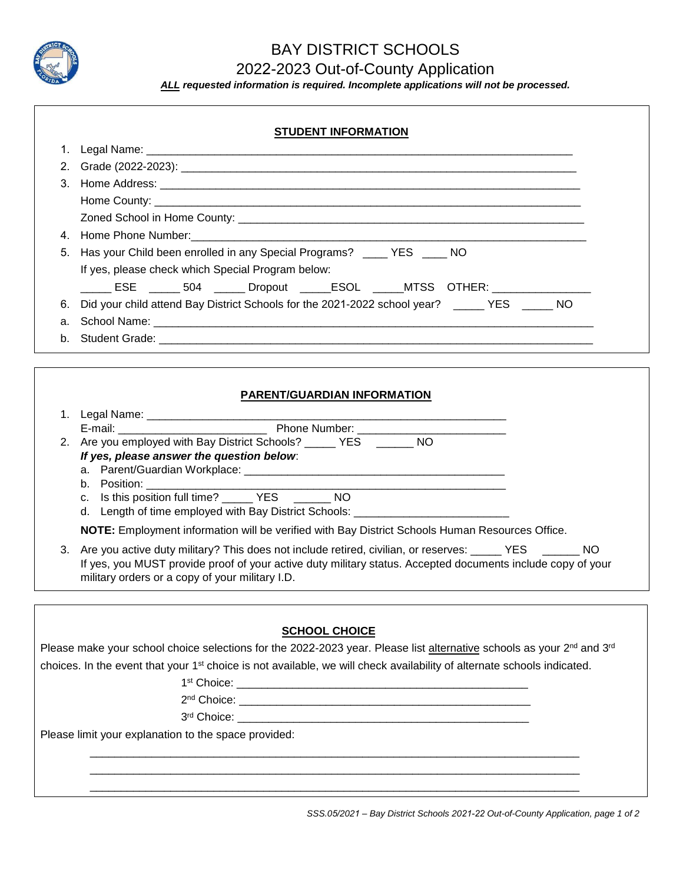

# BAY DISTRICT SCHOOLS

2022-2023 Out-of-County Application

*ALL requested information is required. Incomplete applications will not be processed.* 

| <b>STUDENT INFORMATION</b> |                                                                                                                                                                                                                                |  |  |  |
|----------------------------|--------------------------------------------------------------------------------------------------------------------------------------------------------------------------------------------------------------------------------|--|--|--|
|                            |                                                                                                                                                                                                                                |  |  |  |
|                            |                                                                                                                                                                                                                                |  |  |  |
| 3.                         |                                                                                                                                                                                                                                |  |  |  |
|                            |                                                                                                                                                                                                                                |  |  |  |
|                            |                                                                                                                                                                                                                                |  |  |  |
|                            |                                                                                                                                                                                                                                |  |  |  |
|                            | 5. Has your Child been enrolled in any Special Programs? ____ YES ___ NO                                                                                                                                                       |  |  |  |
|                            | If yes, please check which Special Program below:                                                                                                                                                                              |  |  |  |
|                            | ______ ESE ______ 504 ______ Dropout ______ESOL ______MTSS _OTHER: _____________                                                                                                                                               |  |  |  |
| 6.                         | Did your child attend Bay District Schools for the 2021-2022 school year? ______ YES ______ NO                                                                                                                                 |  |  |  |
| а.                         |                                                                                                                                                                                                                                |  |  |  |
| b.                         |                                                                                                                                                                                                                                |  |  |  |
|                            |                                                                                                                                                                                                                                |  |  |  |
|                            |                                                                                                                                                                                                                                |  |  |  |
|                            | PARENT/GUARDIAN INFORMATION                                                                                                                                                                                                    |  |  |  |
|                            |                                                                                                                                                                                                                                |  |  |  |
|                            | 2. Are you employed with Bay District Schools? _____ YES ______ NO                                                                                                                                                             |  |  |  |
|                            | If yes, please answer the question below:                                                                                                                                                                                      |  |  |  |
|                            |                                                                                                                                                                                                                                |  |  |  |
|                            | b. Position: the contract of the contract of the contract of the contract of the contract of the contract of the contract of the contract of the contract of the contract of the contract of the contract of the contract of t |  |  |  |
|                            | c. Is this position full time? ______ YES ______ NO<br>d. Length of time employed with Bay District Schools: __________________________                                                                                        |  |  |  |
|                            |                                                                                                                                                                                                                                |  |  |  |
|                            | NOTE: Employment information will be verified with Bay District Schools Human Resources Office.                                                                                                                                |  |  |  |
| 3.                         | Are you active duty military? This does not include retired, civilian, or reserves: _____ YES ______ NO<br>If yes, you MUST provide proof of your active duty military status. Accepted documents include copy of your         |  |  |  |
|                            | military orders or a copy of your military I.D.                                                                                                                                                                                |  |  |  |
|                            |                                                                                                                                                                                                                                |  |  |  |
|                            |                                                                                                                                                                                                                                |  |  |  |
|                            | <b>SCHOOL CHOICE</b>                                                                                                                                                                                                           |  |  |  |
|                            | Please make your school choice selections for the 2022-2023 year. Please list alternative schools as your 2 <sup>nd</sup> and 3 <sup>rd</sup>                                                                                  |  |  |  |
|                            | choices. In the event that your 1 <sup>st</sup> choice is not available, we will check availability of alternate schools indicated.                                                                                            |  |  |  |
|                            |                                                                                                                                                                                                                                |  |  |  |
|                            |                                                                                                                                                                                                                                |  |  |  |
|                            |                                                                                                                                                                                                                                |  |  |  |
|                            | Please limit your explanation to the space provided:                                                                                                                                                                           |  |  |  |
|                            |                                                                                                                                                                                                                                |  |  |  |

 $\overline{\phantom{a}}$  ,  $\overline{\phantom{a}}$  ,  $\overline{\phantom{a}}$  ,  $\overline{\phantom{a}}$  ,  $\overline{\phantom{a}}$  ,  $\overline{\phantom{a}}$  ,  $\overline{\phantom{a}}$  ,  $\overline{\phantom{a}}$  ,  $\overline{\phantom{a}}$  ,  $\overline{\phantom{a}}$  ,  $\overline{\phantom{a}}$  ,  $\overline{\phantom{a}}$  ,  $\overline{\phantom{a}}$  ,  $\overline{\phantom{a}}$  ,  $\overline{\phantom{a}}$  ,  $\overline{\phantom{a}}$